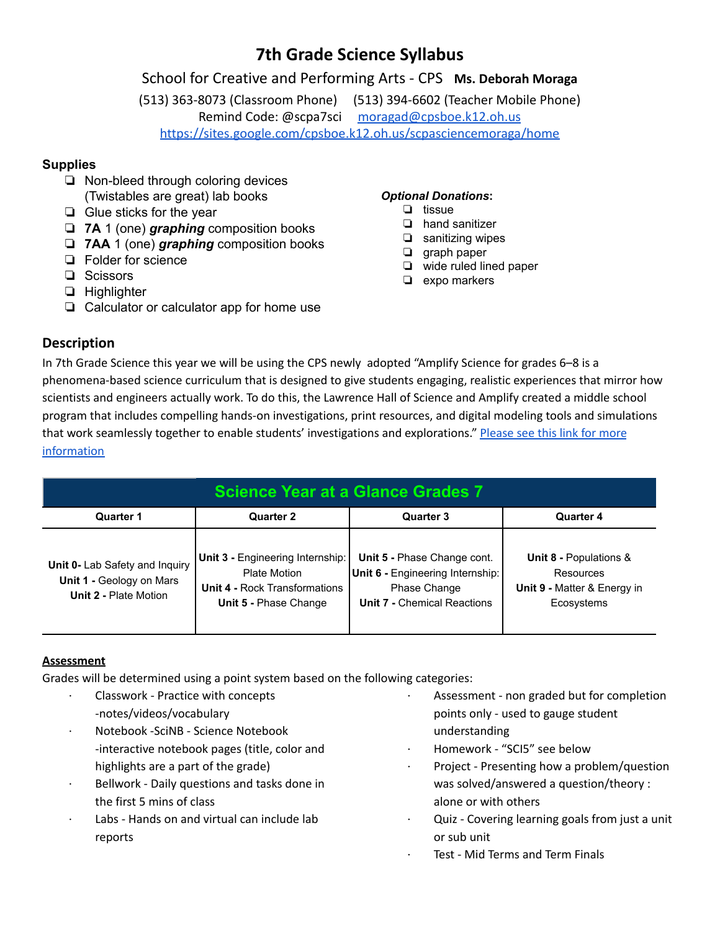# **7th Grade Science Syllabus**

## School for Creative and Performing Arts - CPS **Ms. Deborah Moraga**

(513) 363-8073 (Classroom Phone) (513) 394-6602 (Teacher Mobile Phone) Remind Code: @scpa7sci [moragad@cpsboe.k12.oh.us](mailto:moragad@cpsboe.k12.oh.us) <https://sites.google.com/cpsboe.k12.oh.us/scpasciencemoraga/home>

## **Supplies**

- ❏ Non-bleed through coloring devices (Twistables are great) lab books
- ❏ Glue sticks for the year
- ❏ **7A** 1 (one) *graphing* composition books
- ❏ **7AA** 1 (one) *graphing* composition books
- ❏ Folder for science
- ❏ Scissors
- ❏ Highlighter
- ❏ Calculator or calculator app for home use

### *Optional Donations***:**

- ❏ tissue
- ❏ hand sanitizer
- ❏ sanitizing wipes
- ❏ graph paper
- ❏ wide ruled lined paper
- ❏ expo markers

## **Description**

In 7th Grade Science this year we will be using the CPS newly adopted "Amplify Science for grades 6–8 is a phenomena-based science curriculum that is designed to give students engaging, realistic experiences that mirror how scientists and engineers actually work. To do this, the Lawrence Hall of Science and Amplify created a middle school program that includes compelling hands-on investigations, print resources, and digital modeling tools and simulations that work seamlessly together to enable students' investigations and explorations." [Please](https://amplify.com/programs/amplify-science/whats-included-6-8/) see this link for more [information](https://amplify.com/programs/amplify-science/whats-included-6-8/)

| <b>Science Year at a Glance Grades 7</b>                                            |                                                                                                                                 |                                                                                                                       |                                                                                             |
|-------------------------------------------------------------------------------------|---------------------------------------------------------------------------------------------------------------------------------|-----------------------------------------------------------------------------------------------------------------------|---------------------------------------------------------------------------------------------|
| Quarter 1                                                                           | <b>Quarter 2</b>                                                                                                                | <b>Quarter 3</b>                                                                                                      | <b>Quarter 4</b>                                                                            |
| Unit 0- Lab Safety and Inquiry<br>Unit 1 - Geology on Mars<br>Unit 2 - Plate Motion | <b>Unit 3 - Engineering Internship:</b><br>Plate Motion<br><b>Unit 4 - Rock Transformations</b><br><b>Unit 5 - Phase Change</b> | Unit 5 - Phase Change cont.<br>Unit 6 - Engineering Internship:<br>Phase Change<br><b>Unit 7 - Chemical Reactions</b> | <b>Unit 8 - Populations &amp;</b><br>Resources<br>Unit 9 - Matter & Energy in<br>Ecosystems |

## **Assessment**

Grades will be determined using a point system based on the following categories:

- · Classwork Practice with concepts -notes/videos/vocabulary · Notebook -SciNB - Science Notebook -interactive notebook pages (title, color and highlights are a part of the grade) Bellwork - Daily questions and tasks done in the first 5 mins of class Labs - Hands on and virtual can include lab reports Assessment - non graded but for completion points only - used to gauge student understanding · Homework - "SCI5" see below Project - Presenting how a problem/question was solved/answered a question/theory : alone or with others Quiz - Covering learning goals from just a unit
	- or sub unit Test - Mid Terms and Term Finals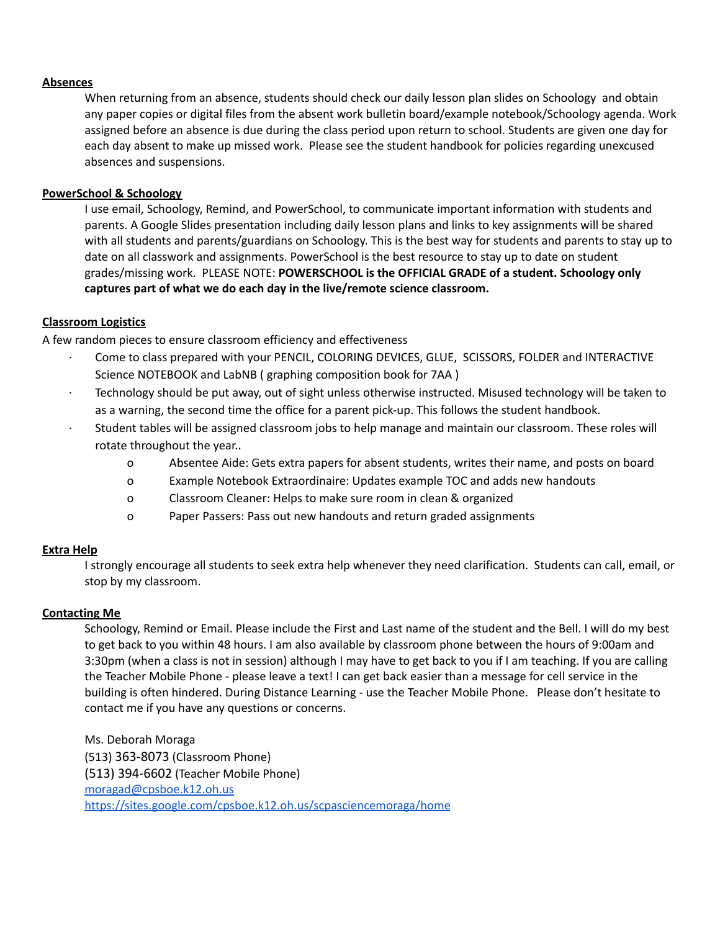#### **Absences**

When returning from an absence, students should check our daily lesson plan slides on Schoology and obtain any paper copies or digital files from the absent work bulletin board/example notebook/Schoology agenda. Work assigned before an absence is due during the class period upon return to school. Students are given one day for each day absent to make up missed work. Please see the student handbook for policies regarding unexcused absences and suspensions.

#### **PowerSchool & Schoology**

I use email, Schoology, Remind, and PowerSchool, to communicate important information with students and parents. A Google Slides presentation including daily lesson plans and links to key assignments will be shared with all students and parents/guardians on Schoology. This is the best way for students and parents to stay up to date on all classwork and assignments. PowerSchool is the best resource to stay up to date on student grades/missing work. PLEASE NOTE: **POWERSCHOOL is the OFFICIAL GRADE of a student. Schoology only captures part of what we do each day in the live/remote science classroom.**

#### **Classroom Logistics**

A few random pieces to ensure classroom efficiency and effectiveness

- Come to class prepared with your PENCIL, COLORING DEVICES, GLUE, SCISSORS, FOLDER and INTERACTIVE Science NOTEBOOK and LabNB ( graphing composition book for 7AA )
- · Technology should be put away, out of sight unless otherwise instructed. Misused technology will be taken to as a warning, the second time the office for a parent pick-up. This follows the student handbook.
- · Student tables will be assigned classroom jobs to help manage and maintain our classroom. These roles will rotate throughout the year..
	- o Absentee Aide: Gets extra papers for absent students, writes their name, and posts on board
	- o Example Notebook Extraordinaire: Updates example TOC and adds new handouts
	- o Classroom Cleaner: Helps to make sure room in clean & organized
	- o Paper Passers: Pass out new handouts and return graded assignments

#### **Extra Help**

I strongly encourage all students to seek extra help whenever they need clarification. Students can call, email, or stop by my classroom.

#### **Contacting Me**

Schoology, Remind or Email. Please include the First and Last name of the student and the Bell. I will do my best to get back to you within 48 hours. I am also available by classroom phone between the hours of 9:00am and 3:30pm (when a class is not in session) although I may have to get back to you if I am teaching. If you are calling the Teacher Mobile Phone - please leave a text! I can get back easier than a message for cell service in the building is often hindered. During Distance Learning - use the Teacher Mobile Phone. Please don't hesitate to contact me if you have any questions or concerns.

Ms. Deborah Moraga (513) 363-8073 (Classroom Phone) (513) 394-6602 (Teacher Mobile Phone) [moragad@cpsboe.k12.oh.us](mailto:moragad@cpsboe.k12.oh.us) <https://sites.google.com/cpsboe.k12.oh.us/scpasciencemoraga/home>